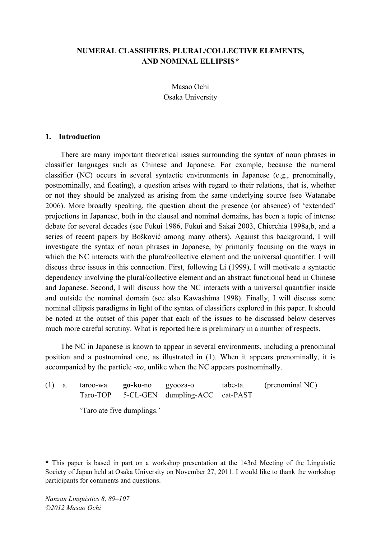## **NUMERAL CLASSIFIERS, PLURAL/COLLECTIVE ELEMENTS, AND NOMINAL ELLIPSIS\***

Masao Ochi Osaka University

### **1. Introduction**

There are many important theoretical issues surrounding the syntax of noun phrases in classifier languages such as Chinese and Japanese. For example, because the numeral classifier (NC) occurs in several syntactic environments in Japanese (e.g., prenominally, postnominally, and floating), a question arises with regard to their relations, that is, whether or not they should be analyzed as arising from the same underlying source (see Watanabe 2006). More broadly speaking, the question about the presence (or absence) of 'extended' projections in Japanese, both in the clausal and nominal domains, has been a topic of intense debate for several decades (see Fukui 1986, Fukui and Sakai 2003, Chierchia 1998a,b, and a series of recent papers by Bošković among many others). Against this background, I will investigate the syntax of noun phrases in Japanese, by primarily focusing on the ways in which the NC interacts with the plural/collective element and the universal quantifier. I will discuss three issues in this connection. First, following Li (1999), I will motivate a syntactic dependency involving the plural/collective element and an abstract functional head in Chinese and Japanese. Second, I will discuss how the NC interacts with a universal quantifier inside and outside the nominal domain (see also Kawashima 1998). Finally, I will discuss some nominal ellipsis paradigms in light of the syntax of classifiers explored in this paper. It should be noted at the outset of this paper that each of the issues to be discussed below deserves much more careful scrutiny. What is reported here is preliminary in a number of respects.

The NC in Japanese is known to appear in several environments, including a prenominal position and a postnominal one, as illustrated in (1). When it appears prenominally, it is accompanied by the particle -*no*, unlike when the NC appears postnominally.

| $(1)$ a.                   |  | taroo-wa | <b>go-ko-</b> no gyooza-o | Taro-TOP 5-CL-GEN dumpling-ACC eat-PAST | tabe-ta. | (prenominal NC) |
|----------------------------|--|----------|---------------------------|-----------------------------------------|----------|-----------------|
| 'Taro ate five dumplings.' |  |          |                           |                                         |          |                 |

 $\overline{a}$ 

**<sup>\*</sup>** This paper is based in part on a workshop presentation at the 143rd Meeting of the Linguistic Society of Japan held at Osaka University on November 27, 2011. I would like to thank the workshop participants for comments and questions.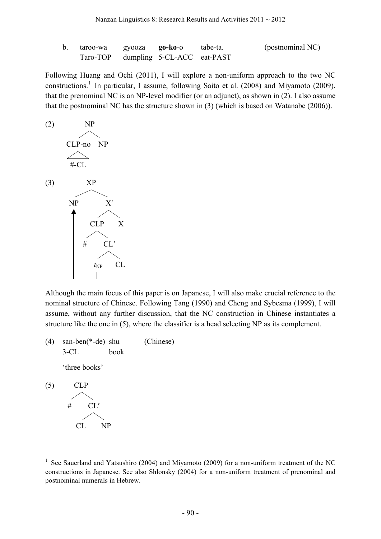| taroo-wa                            | gyooza <b>go-ko-</b> o | tabe-ta. | (postnominal NC) |
|-------------------------------------|------------------------|----------|------------------|
| Taro-TOP dumpling 5-CL-ACC eat-PAST |                        |          |                  |

Following Huang and Ochi (2011), I will explore a non-uniform approach to the two NC constructions.<sup>1</sup> In particular, I assume, following Saito et al. (2008) and Miyamoto (2009), that the prenominal NC is an NP-level modifier (or an adjunct), as shown in (2). I also assume that the postnominal NC has the structure shown in (3) (which is based on Watanabe (2006)).



Although the main focus of this paper is on Japanese, I will also make crucial reference to the nominal structure of Chinese. Following Tang (1990) and Cheng and Sybesma (1999), I will assume, without any further discussion, that the NC construction in Chinese instantiates a structure like the one in (5), where the classifier is a head selecting NP as its complement.

- (4) san-ben(\*-de) shu (Chinese) 3-CL book 'three books' (5) CLP
	- #  $\diagup\diagdown$ CL′ CL  $\diagup\diagdown$ NP

<sup>&</sup>lt;sup>1</sup> See Sauerland and Yatsushiro (2004) and Miyamoto (2009) for a non-uniform treatment of the NC constructions in Japanese. See also Shlonsky (2004) for a non-uniform treatment of prenominal and postnominal numerals in Hebrew.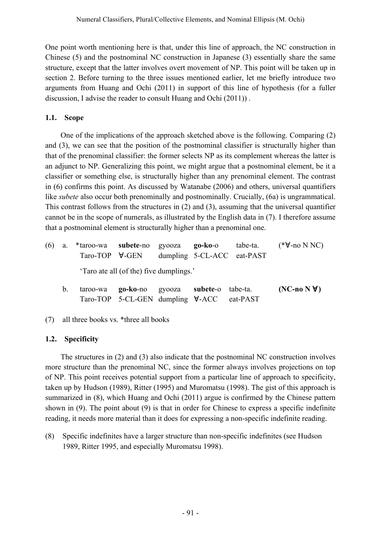One point worth mentioning here is that, under this line of approach, the NC construction in Chinese (5) and the postnominal NC construction in Japanese (3) essentially share the same structure, except that the latter involves overt movement of NP. This point will be taken up in section 2. Before turning to the three issues mentioned earlier, let me briefly introduce two arguments from Huang and Ochi (2011) in support of this line of hypothesis (for a fuller discussion, I advise the reader to consult Huang and Ochi (2011)) .

# **1.1. Scope**

One of the implications of the approach sketched above is the following. Comparing (2) and (3), we can see that the position of the postnominal classifier is structurally higher than that of the prenominal classifier: the former selects NP as its complement whereas the latter is an adjunct to NP. Generalizing this point, we might argue that a postnominal element, be it a classifier or something else, is structurally higher than any prenominal element. The contrast in (6) confirms this point. As discussed by Watanabe (2006) and others, universal quantifiers like *subete* also occur both prenominally and postnominally. Crucially, (6a) is ungrammatical. This contrast follows from the structures in (2) and (3), assuming that the universal quantifier cannot be in the scope of numerals, as illustrated by the English data in (7). I therefore assume that a postnominal element is structurally higher than a prenominal one.

- (6) a. \*taroo-wa **subete**-no gyooza **go-ko**-o tabe-ta. (\*∀-no N NC) Taro-TOP ∀-GEN dumpling 5-CL-ACC eat-PAST 'Taro ate all (of the) five dumplings.'
	- b. taroo-wa **go-ko**-no gyooza **subete**-o tabe-ta. **(NC-no N** ∀**)** Taro-TOP 5-CL-GEN dumpling ∀-ACC eat-PAST
- (7) all three books vs. \*three all books

# **1.2. Specificity**

The structures in (2) and (3) also indicate that the postnominal NC construction involves more structure than the prenominal NC, since the former always involves projections on top of NP. This point receives potential support from a particular line of approach to specificity, taken up by Hudson (1989), Ritter (1995) and Muromatsu (1998). The gist of this approach is summarized in  $(8)$ , which Huang and Ochi  $(2011)$  argue is confirmed by the Chinese pattern shown in (9). The point about (9) is that in order for Chinese to express a specific indefinite reading, it needs more material than it does for expressing a non-specific indefinite reading.

(8) Specific indefinites have a larger structure than non-specific indefinites (see Hudson 1989, Ritter 1995, and especially Muromatsu 1998).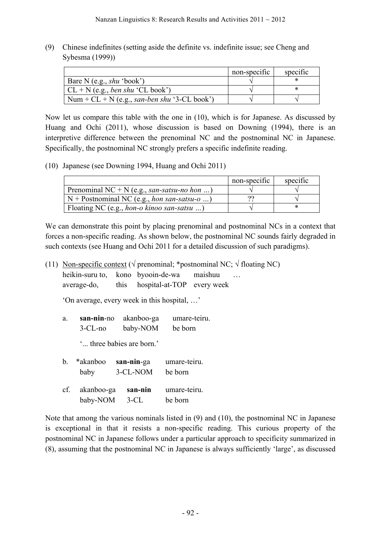(9) Chinese indefinites (setting aside the definite vs. indefinite issue; see Cheng and Sybesma (1999))

|                                                       | non-specific | specific |
|-------------------------------------------------------|--------------|----------|
| Bare N (e.g., $shu$ 'book')                           |              |          |
| $CL + N$ (e.g., <i>ben shu</i> 'CL book')             |              |          |
| Num + $CL$ + N (e.g., <i>san-ben shu</i> '3-CL book') |              |          |

Now let us compare this table with the one in (10), which is for Japanese. As discussed by Huang and Ochi (2011), whose discussion is based on Downing (1994), there is an interpretive difference between the prenominal NC and the postnominal NC in Japanese. Specifically, the postnominal NC strongly prefers a specific indefinite reading.

(10) Japanese (see Downing 1994, Huang and Ochi 2011)

|                                                            | non-specific | specific |
|------------------------------------------------------------|--------------|----------|
| Prenominal NC + N (e.g., san-satsu-no hon )                |              |          |
| $\vert N +$ Postnominal NC (e.g., <i>hon san-satsu-o</i> ) | ດເ           |          |
| [Floating NC (e.g., <i>hon-o kinoo san-satsu</i> )         |              |          |

We can demonstrate this point by placing prenominal and postnominal NCs in a context that forces a non-specific reading. As shown below, the postnominal NC sounds fairly degraded in such contexts (see Huang and Ochi 2011 for a detailed discussion of such paradigms).

(11) Non-specific context ( $\sqrt{ }$  prenominal; \*postnominal NC;  $\sqrt{ }$  floating NC)

heikin-suru to, kono byooin-de-wa maishuu …

average-do, this hospital-at-TOP every week

'On average, every week in this hospital, …'

a. **san-nin**-no akanboo-ga umare-teiru. 3-CL-no baby-NOM be born

'... three babies are born.'

b. \*akanboo **san-nin**-ga umare-teiru. baby 3-CL-NOM be born cf. akanboo-ga **san-nin** umare-teiru. baby-NOM 3-CL be born

Note that among the various nominals listed in (9) and (10), the postnominal NC in Japanese is exceptional in that it resists a non-specific reading. This curious property of the postnominal NC in Japanese follows under a particular approach to specificity summarized in (8), assuming that the postnominal NC in Japanese is always sufficiently 'large', as discussed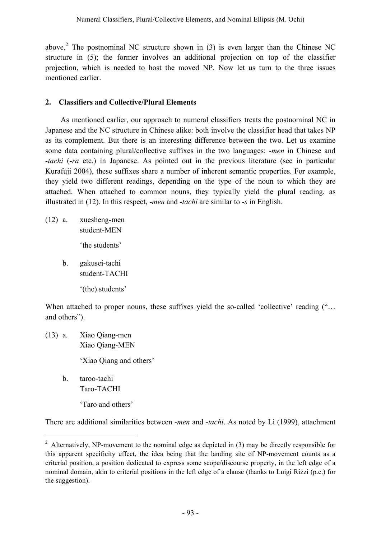above.<sup>2</sup> The postnominal NC structure shown in (3) is even larger than the Chinese NC structure in (5); the former involves an additional projection on top of the classifier projection, which is needed to host the moved NP. Now let us turn to the three issues mentioned earlier.

## **2. Classifiers and Collective/Plural Elements**

As mentioned earlier, our approach to numeral classifiers treats the postnominal NC in Japanese and the NC structure in Chinese alike: both involve the classifier head that takes NP as its complement. But there is an interesting difference between the two. Let us examine some data containing plural/collective suffixes in the two languages: -*men* in Chinese and -*tachi* (-*ra* etc.) in Japanese. As pointed out in the previous literature (see in particular Kurafuji 2004), these suffixes share a number of inherent semantic properties. For example, they yield two different readings, depending on the type of the noun to which they are attached. When attached to common nouns, they typically yield the plural reading, as illustrated in (12). In this respect, -*men* and -*tachi* are similar to -*s* in English.

- (12) a. xuesheng-men student-MEN 'the students'
	- b. gakusei-tachi student-TACHI '(the) students'

When attached to proper nouns, these suffixes yield the so-called 'collective' reading ("... and others").

- (13) a. Xiao Qiang-men Xiao Qiang-MEN 'Xiao Qiang and others'
	- b. taroo-tachi Taro-TACHI

'Taro and others'

There are additional similarities between -*men* and -*tachi*. As noted by Li (1999), attachment

<sup>&</sup>lt;sup>2</sup> Alternatively, NP-movement to the nominal edge as depicted in  $(3)$  may be directly responsible for this apparent specificity effect, the idea being that the landing site of NP-movement counts as a criterial position, a position dedicated to express some scope/discourse property, in the left edge of a nominal domain, akin to criterial positions in the left edge of a clause (thanks to Luigi Rizzi (p.c.) for the suggestion).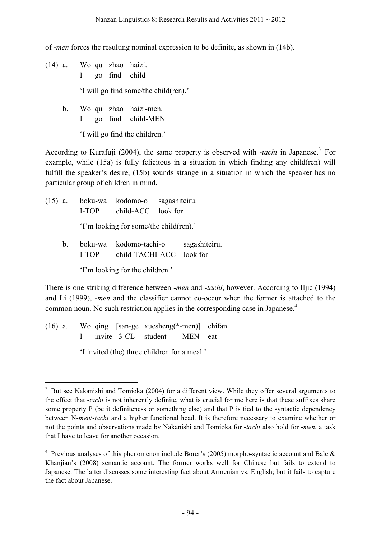of -*men* forces the resulting nominal expression to be definite, as shown in (14b).

- (14) a. Wo qu zhao haizi. I go find child 'I will go find some/the child(ren).'
	- b. Wo qu zhao haizi-men. I go find child-MEN

'I will go find the children.'

According to Kurafuji (2004), the same property is observed with *-tachi* in Japanese.<sup>3</sup> For example, while (15a) is fully felicitous in a situation in which finding any child(ren) will fulfill the speaker's desire, (15b) sounds strange in a situation in which the speaker has no particular group of children in mind.

(15) a. boku-wa kodomo-o sagashiteiru. I-TOP child-ACC look for 'I'm looking for some/the child(ren).' b. boku-wa kodomo-tachi-o sagashiteiru. I-TOP child-TACHI-ACC look for

'I'm looking for the children.'

There is one striking difference between -*men* and -*tachi*, however. According to Iljic (1994) and Li (1999), -*men* and the classifier cannot co-occur when the former is attached to the common noun. No such restriction applies in the corresponding case in Japanese.<sup>4</sup>

(16) a. Wo qing [san-ge xuesheng(\*-men)] chifan. I invite 3-CL student -MEN eat

'I invited (the) three children for a meal.'

 $\frac{1}{3}$ <sup>3</sup> But see Nakanishi and Tomioka (2004) for a different view. While they offer several arguments to the effect that -*tachi* is not inherently definite, what is crucial for me here is that these suffixes share some property P (be it definiteness or something else) and that P is tied to the syntactic dependency between N-*men*/-*tachi* and a higher functional head. It is therefore necessary to examine whether or not the points and observations made by Nakanishi and Tomioka for -*tachi* also hold for -*men*, a task that I have to leave for another occasion.

<sup>&</sup>lt;sup>4</sup> Previous analyses of this phenomenon include Borer's (2005) morpho-syntactic account and Bale  $\&$ Khanjian's (2008) semantic account. The former works well for Chinese but fails to extend to Japanese. The latter discusses some interesting fact about Armenian vs. English; but it fails to capture the fact about Japanese.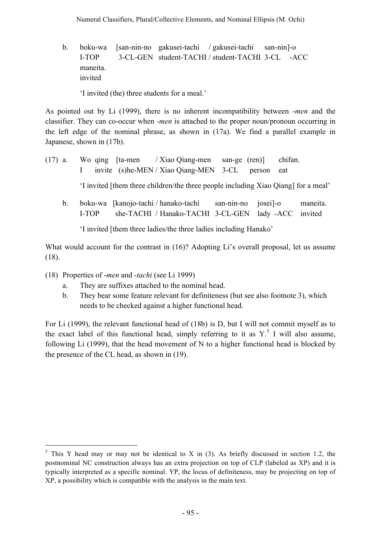b. boku-wa [san-nin-no gakusei-tachi / gakusei-tachi san-nin]-o I-TOP [3-CL-GEN student-TACHI / student-TACHI 3-CL -ACC maneita. invited

'I invited (the) three students for a meal.'

As pointed out by Li (1999), there is no inherent incompatibility between -*men* and the classifier. They can co-occur when -*men* is attached to the proper noun/pronoun occurring in the left edge of the nominal phrase, as shown in (17a). We find a parallel example in Japanese, shown in (17b).

- (17) a. Wo qing [ta-men / Xiao Qiang-men san-ge (ren)] chifan. I invite [(s)he-MEN / Xiao Qiang-MEN 3-CL (person eat 'I invited [them three children/the three people including Xiao Qiang] for a meal'
	- b. boku-wa [kanojo-tachi / hanako-tachi san-nin-no josei]-o maneita. I-TOP she-TACHI / Hanako-TACHI 3-CL-GEN lady -ACC invited

'I invited [them three ladies/the three ladies including Hanako'

What would account for the contrast in (16)? Adopting Li's overall proposal, let us assume (18).

- (18) Properties of -*men* and -*tachi* (see Li 1999)
	- a. They are suffixes attached to the nominal head.
	- b. They bear some feature relevant for definiteness (but see also footnote 3), which needs to be checked against a higher functional head.

For Li (1999), the relevant functional head of (18b) is D, but I will not commit myself as to the exact label of this functional head, simply referring to it as  $Y^{\text{S}}$ . I will also assume, following Li (1999), that the head movement of N to a higher functional head is blocked by the presence of the CL head, as shown in (19).

 $5$  This Y head may or may not be identical to X in (3). As briefly discussed in section 1.2, the postnominal NC construction always has an extra projection on top of CLP (labeled as XP) and it is typically interpreted as a specific nominal. YP, the locus of definiteness, may be projecting on top of XP, a possibility which is compatible with the analysis in the main text.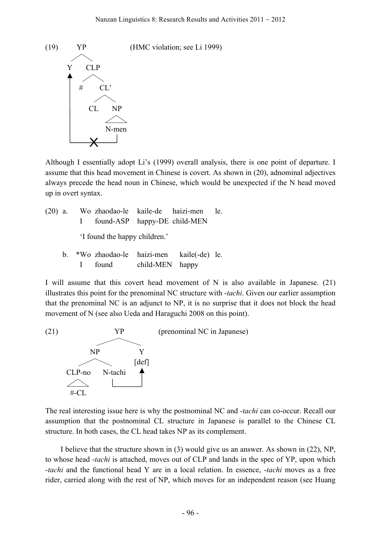

Although I essentially adopt Li's (1999) overall analysis, there is one point of departure. I assume that this head movement in Chinese is covert. As shown in (20), adnominal adjectives always precede the head noun in Chinese, which would be unexpected if the N head moved up in overt syntax.

|              | (20) a. Wo zhaodao-le kaile-de haizi-men le.                                     |  |  |
|--------------|----------------------------------------------------------------------------------|--|--|
|              | found-ASP happy-DE child-MEN                                                     |  |  |
|              | 'I found the happy children.'                                                    |  |  |
| <sub>b</sub> | *Wo zhaodao-le haizi-men kaile(-de) le.<br>found child-MEN happy<br>$\mathbf{I}$ |  |  |

I will assume that this covert head movement of N is also available in Japanese. (21) illustrates this point for the prenominal NC structure with -*tachi*. Given our earlier assumption that the prenominal NC is an adjunct to NP, it is no surprise that it does not block the head movement of N (see also Ueda and Haraguchi 2008 on this point).



The real interesting issue here is why the postnominal NC and -*tachi* can co-occur. Recall our assumption that the postnominal CL structure in Japanese is parallel to the Chinese CL structure. In both cases, the CL head takes NP as its complement.

I believe that the structure shown in (3) would give us an answer. As shown in (22), NP, to whose head -*tachi* is attached, moves out of CLP and lands in the spec of YP, upon which -*tachi* and the functional head Y are in a local relation. In essence, -*tachi* moves as a free rider, carried along with the rest of NP, which moves for an independent reason (see Huang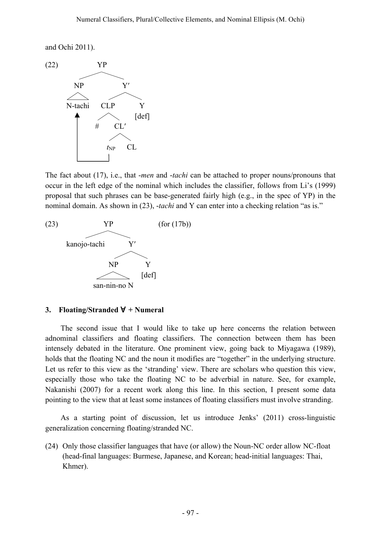and Ochi 2011).



The fact about (17), i.e., that -*men* and -*tachi* can be attached to proper nouns/pronouns that occur in the left edge of the nominal which includes the classifier, follows from Li's (1999) proposal that such phrases can be base-generated fairly high (e.g., in the spec of YP) in the nominal domain. As shown in (23), -*tachi* and Y can enter into a checking relation "as is."



### **3. Floating/Stranded** ∀ **+ Numeral**

The second issue that I would like to take up here concerns the relation between adnominal classifiers and floating classifiers. The connection between them has been intensely debated in the literature. One prominent view, going back to Miyagawa (1989), holds that the floating NC and the noun it modifies are "together" in the underlying structure. Let us refer to this view as the 'stranding' view. There are scholars who question this view, especially those who take the floating NC to be adverbial in nature. See, for example, Nakanishi (2007) for a recent work along this line. In this section, I present some data pointing to the view that at least some instances of floating classifiers must involve stranding.

As a starting point of discussion, let us introduce Jenks' (2011) cross-linguistic generalization concerning floating/stranded NC.

(24) Only those classifier languages that have (or allow) the Noun-NC order allow NC-float (head-final languages: Burmese, Japanese, and Korean; head-initial languages: Thai, Khmer).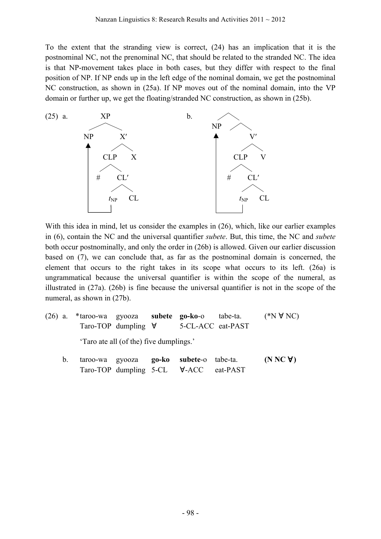To the extent that the stranding view is correct, (24) has an implication that it is the postnominal NC, not the prenominal NC, that should be related to the stranded NC. The idea is that NP-movement takes place in both cases, but they differ with respect to the final position of NP. If NP ends up in the left edge of the nominal domain, we get the postnominal NC construction, as shown in (25a). If NP moves out of the nominal domain, into the VP domain or further up, we get the floating/stranded NC construction, as shown in (25b).



With this idea in mind, let us consider the examples in (26), which, like our earlier examples in (6), contain the NC and the universal quantifier *subete*. But, this time, the NC and *subete* both occur postnominally, and only the order in (26b) is allowed. Given our earlier discussion based on (7), we can conclude that, as far as the postnominal domain is concerned, the element that occurs to the right takes in its scope what occurs to its left. (26a) is ungrammatical because the universal quantifier is within the scope of the numeral, as illustrated in (27a). (26b) is fine because the universal quantifier is not in the scope of the numeral, as shown in (27b).

- (26) a. \*taroo-wa gyooza **subete go-ko**-o tabe-ta. (\*N ∀ NC) Taro-TOP dumpling ∀ 5-CL-ACC eat-PAST 'Taro ate all (of the) five dumplings.'
	- b. taroo-wa gyooza **go-ko subete**-o tabe-ta. **(N NC** ∀**)** Taro-TOP dumpling 5-CL ∀-ACC eat-PAST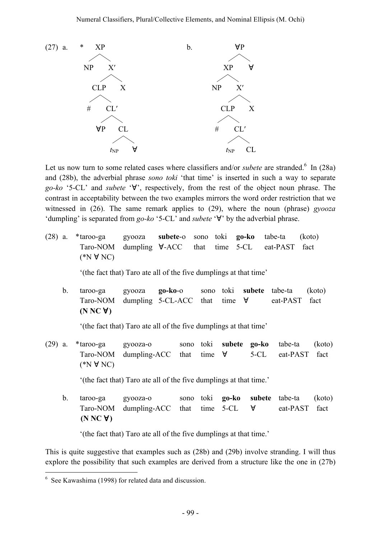

Let us now turn to some related cases where classifiers and/or *subete* are stranded.<sup>6</sup> In (28a) and (28b), the adverbial phrase *sono toki* 'that time' is inserted in such a way to separate *go-ko* '5-CL' and *subete* '∀', respectively, from the rest of the object noun phrase. The contrast in acceptability between the two examples mirrors the word order restriction that we witnessed in (26). The same remark applies to (29), where the noun (phrase) *gyooza* 'dumpling' is separated from *go-ko* '5-CL' and *subete* '∀' by the adverbial phrase.

(28) a. \*taroo-ga gyooza **subete**-o sono toki **go-ko** tabe-ta (koto) Taro-NOM dumpling ∀-ACC that time 5-CL eat-PAST fact (\*N ∀ NC)

'(the fact that) Taro ate all of the five dumplings at that time'

b. taroo-ga gyooza **go-ko**-o sono toki **subete** tabe-ta (koto) Taro-NOM dumpling 5-CL-ACC that time ∀ eat-PAST fact **(N NC** ∀**)**

'(the fact that) Taro ate all of the five dumplings at that time'

(29) a. \*taroo-ga gyooza-o sono toki **subete go-ko** tabe-ta (koto) Taro-NOM dumpling-ACC that time  $\forall$  5-CL eat-PAST fact (\*N ∀ NC)

'(the fact that) Taro ate all of the five dumplings at that time.'

b. taroo-ga gyooza-o sono toki **go-ko subete** tabe-ta (koto) Taro-NOM dumpling-ACC that time 5-CL ∀ eat-PAST fact **(N NC** ∀**)**

'(the fact that) Taro ate all of the five dumplings at that time.'

This is quite suggestive that examples such as (28b) and (29b) involve stranding. I will thus explore the possibility that such examples are derived from a structure like the one in (27b)

 $\frac{1}{6}$  $6$  See Kawashima (1998) for related data and discussion.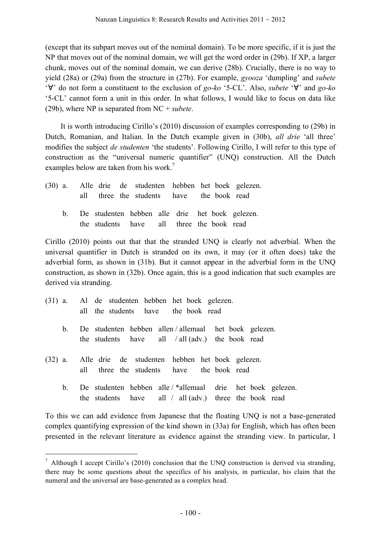(except that its subpart moves out of the nominal domain). To be more specific, if it is just the NP that moves out of the nominal domain, we will get the word order in (29b). If XP, a larger chunk, moves out of the nominal domain, we can derive (28b). Crucially, there is no way to yield (28a) or (29a) from the structure in (27b). For example, *gyooza* 'dumpling' and *subete* '∀' do not form a constituent to the exclusion of *go-ko* '5-CL'. Also, *subete* '∀' and *go-ko* '5-CL' cannot form a unit in this order. In what follows, I would like to focus on data like (29b), where NP is separated from NC + *subete*.

It is worth introducing Cirillo's (2010) discussion of examples corresponding to (29b) in Dutch, Romanian, and Italian. In the Dutch example given in (30b), *all drie* 'all three' modifies the subject *de studenten* 'the students'. Following Cirillo, I will refer to this type of construction as the "universal numeric quantifier" (UNQ) construction. All the Dutch examples below are taken from his work.<sup>7</sup>

|  |  |  |                                           |  | (30) a. Alle drie de studenten hebben het boek gelezen. |
|--|--|--|-------------------------------------------|--|---------------------------------------------------------|
|  |  |  | all three the students have the book read |  |                                                         |
|  |  |  | the students have all three the book read |  | b. De studenten hebben alle drie het boek gelezen.      |
|  |  |  |                                           |  |                                                         |

Cirillo (2010) points out that that the stranded UNQ is clearly not adverbial. When the universal quantifier in Dutch is stranded on its own, it may (or it often does) take the adverbial form, as shown in (31b). But it cannot appear in the adverbial form in the UNQ construction, as shown in (32b). Once again, this is a good indication that such examples are derived via stranding.

- (31) a. Al de studenten hebben het boek gelezen. all the students have the book read
	- b. De studenten hebben allen / allemaal het boek gelezen. the students have all / all (adv.) the book read
- (32) a. Alle drie de studenten hebben het boek gelezen. all three the students have the book read
	- b. De studenten hebben alle / \*allemaal drie het boek gelezen. the students have all / all (adv.) three the book read

To this we can add evidence from Japanese that the floating UNQ is not a base-generated complex quantifying expression of the kind shown in (33a) for English, which has often been presented in the relevant literature as evidence against the stranding view. In particular, I

 $^7$  Although I accept Cirillo's (2010) conclusion that the UNQ construction is derived via stranding, there may be some questions about the specifics of his analysis, in particular, his claim that the numeral and the universal are base-generated as a complex head.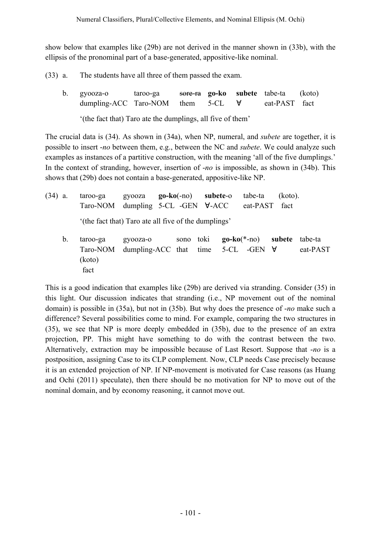show below that examples like (29b) are not derived in the manner shown in (33b), with the ellipsis of the pronominal part of a base-generated, appositive-like nominal.

- (33) a. The students have all three of them passed the exam.
	- b. gyooza-o taroo-ga sore-ra **go-ko subete** tabe-ta (koto) dumpling-ACC Taro-NOM them 5-CL ∀ eat-PAST fact '(the fact that) Taro ate the dumplings, all five of them'

The crucial data is (34). As shown in (34a), when NP, numeral, and *subete* are together, it is possible to insert -*no* between them, e.g., between the NC and *subete*. We could analyze such examples as instances of a partitive construction, with the meaning 'all of the five dumplings.' In the context of stranding, however, insertion of -*no* is impossible, as shown in (34b). This shows that (29b) does not contain a base-generated, appositive-like NP.

- (34) a. taroo-ga gyooza **go-ko**(-no) **subete**-o tabe-ta (koto). Taro-NOM dumpling 5-CL -GEN ∀-ACC eat-PAST fact '(the fact that) Taro ate all five of the dumplings'
	- b. taroo-ga gyooza-o sono toki **go-ko**(\*-no) **subete** tabe-ta Taro-NOM dumpling-ACC that time 5-CL -GEN ∀ eat-PAST (koto) fact

This is a good indication that examples like (29b) are derived via stranding. Consider (35) in this light. Our discussion indicates that stranding (i.e., NP movement out of the nominal domain) is possible in (35a), but not in (35b). But why does the presence of -*no* make such a difference? Several possibilities come to mind. For example, comparing the two structures in (35), we see that NP is more deeply embedded in (35b), due to the presence of an extra projection, PP. This might have something to do with the contrast between the two. Alternatively, extraction may be impossible because of Last Resort. Suppose that -*no* is a postposition, assigning Case to its CLP complement. Now, CLP needs Case precisely because it is an extended projection of NP. If NP-movement is motivated for Case reasons (as Huang and Ochi (2011) speculate), then there should be no motivation for NP to move out of the nominal domain, and by economy reasoning, it cannot move out.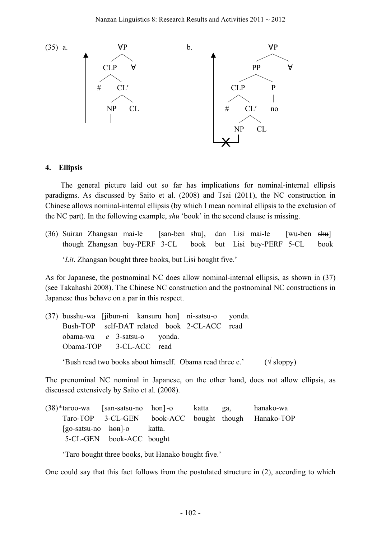

### **4. Ellipsis**

The general picture laid out so far has implications for nominal-internal ellipsis paradigms. As discussed by Saito et al. (2008) and Tsai (2011), the NC construction in Chinese allows nominal-internal ellipsis (by which I mean nominal ellipsis to the exclusion of the NC part). In the following example, *shu* 'book' in the second clause is missing.

(36) Suiran Zhangsan mai-le [san-ben shu], dan Lisi mai-le [wu-ben shu] though Zhangsan buy-PERF 3-CL book but Lisi buy-PERF 5-CL book '*Lit*. Zhangsan bought three books, but Lisi bought five.'

As for Japanese, the postnominal NC does allow nominal-internal ellipsis, as shown in (37) (see Takahashi 2008). The Chinese NC construction and the postnominal NC constructions in Japanese thus behave on a par in this respect.

|                               |  |  | (37) busshu-wa [jibun-ni kansuru hon] ni-satsu-o yonda.                           |  |
|-------------------------------|--|--|-----------------------------------------------------------------------------------|--|
|                               |  |  | Bush-TOP self-DAT related book 2-CL-ACC read                                      |  |
| obama-wa $e$ 3-satsu-o yonda. |  |  |                                                                                   |  |
| Obama-TOP 3-CL-ACC read       |  |  |                                                                                   |  |
|                               |  |  | 'Bush read two books about himself. Obama read three e.' $(\sqrt{\text{sloppy}})$ |  |

The prenominal NC nominal in Japanese, on the other hand, does not allow ellipsis, as discussed extensively by Saito et al. (2008).

(38)\*taroo-wa [san-satsu-no hon]-o katta ga, hanako-wa Taro-TOP 3-CL-GEN book-ACC bought though Hanako-TOP [go-satsu-no hon]-o katta. [5-CL-GEN book-ACC bought

'Taro bought three books, but Hanako bought five.'

One could say that this fact follows from the postulated structure in (2), according to which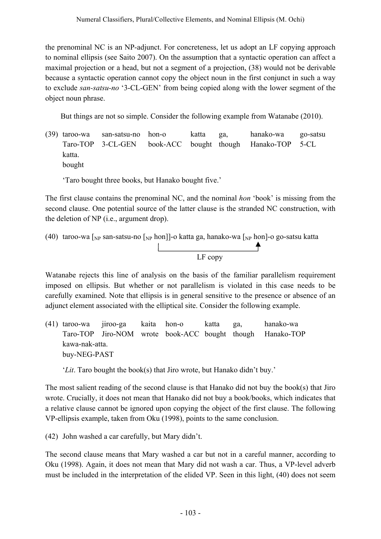the prenominal NC is an NP-adjunct. For concreteness, let us adopt an LF copying approach to nominal ellipsis (see Saito 2007). On the assumption that a syntactic operation can affect a maximal projection or a head, but not a segment of a projection, (38) would not be derivable because a syntactic operation cannot copy the object noun in the first conjunct in such a way to exclude *san-satsu-no* '3-CL-GEN' from being copied along with the lower segment of the object noun phrase.

But things are not so simple. Consider the following example from Watanabe (2010).

(39) taroo-wa san-satsu-no hon-o katta ga, hanako-wa go-satsu Taro-TOP 3-CL-GEN book-ACC bought though Hanako-TOP 5-CL katta. bought

'Taro bought three books, but Hanako bought five.'

The first clause contains the prenominal NC, and the nominal *hon* 'book' is missing from the second clause. One potential source of the latter clause is the stranded NC construction, with the deletion of NP (i.e., argument drop).

(40) taroo-wa [<sub>NP</sub> san-satsu-no [<sub>NP</sub> hon]]-o katta ga, hanako-wa [<sub>NP</sub> hon]-o go-satsu katta LF copy

Watanabe rejects this line of analysis on the basis of the familiar parallelism requirement imposed on ellipsis. But whether or not parallelism is violated in this case needs to be carefully examined. Note that ellipsis is in general sensitive to the presence or absence of an adjunct element associated with the elliptical site. Consider the following example.

(41) taroo-wa jiroo-ga kaita hon-o katta ga, hanako-wa Taro-TOP Jiro-NOM wrote book-ACC bought though Hanako-TOP kawa-nak-atta. buy-NEG-PAST

'*Lit*. Taro bought the book(s) that Jiro wrote, but Hanako didn't buy.'

The most salient reading of the second clause is that Hanako did not buy the book(s) that Jiro wrote. Crucially, it does not mean that Hanako did not buy a book/books, which indicates that a relative clause cannot be ignored upon copying the object of the first clause. The following VP-ellipsis example, taken from Oku (1998), points to the same conclusion.

(42) John washed a car carefully, but Mary didn't.

The second clause means that Mary washed a car but not in a careful manner, according to Oku (1998). Again, it does not mean that Mary did not wash a car. Thus, a VP-level adverb must be included in the interpretation of the elided VP. Seen in this light, (40) does not seem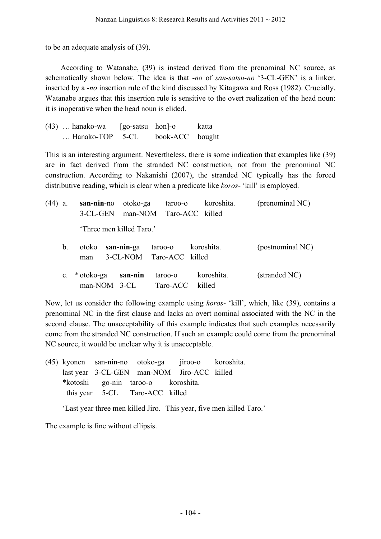to be an adequate analysis of (39).

According to Watanabe, (39) is instead derived from the prenominal NC source, as schematically shown below. The idea is that -*no* of *san-satsu-no* '3-CL-GEN' is a linker, inserted by a -*no* insertion rule of the kind discussed by Kitagawa and Ross (1982). Crucially, Watanabe argues that this insertion rule is sensitive to the overt realization of the head noun: it is inoperative when the head noun is elided.

| $(43)$ hanako-wa         | [go-satsu <del>hon]-o</del> |                 | katta |
|--------------------------|-----------------------------|-----------------|-------|
| $\ldots$ Hanako-TOP 5-CL |                             | book-ACC bought |       |

This is an interesting argument. Nevertheless, there is some indication that examples like (39) are in fact derived from the stranded NC construction, not from the prenominal NC construction. According to Nakanishi (2007), the stranded NC typically has the forced distributive reading, which is clear when a predicate like *koros*- 'kill' is employed.

| $(44)$ a. |               | san-nin-no<br>3-CL-GEN          | otoko-ga   | taroo-o<br>man-NOM Taro-ACC killed  |            | koroshita. | (prenominal NC)  |
|-----------|---------------|---------------------------------|------------|-------------------------------------|------------|------------|------------------|
|           |               | 'Three men killed Taro.'        |            |                                     |            |            |                  |
|           | $\mathbf b$ . | otoko<br>man                    | san-nin-ga | taroo-o<br>3-CL-NOM Taro-ACC killed | koroshita. |            | (postnominal NC) |
|           |               | c. * otoko-ga<br>$man-NOM$ 3-CL | san-nin    | taroo-o<br>Taro-ACC                 | killed     | koroshita. | (stranded NC)    |

Now, let us consider the following example using *koros*- 'kill', which, like (39), contains a prenominal NC in the first clause and lacks an overt nominal associated with the NC in the second clause. The unacceptability of this example indicates that such examples necessarily come from the stranded NC construction. If such an example could come from the prenominal NC source, it would be unclear why it is unacceptable.

(45) kyonen san-nin-no otoko-ga jiroo-o koroshita. last year 3-CL-GEN man-NOM Jiro-ACC killed \*kotoshi go-nin taroo-o koroshita. this year 5-CL Taro-ACC killed

'Last year three men killed Jiro. This year, five men killed Taro.'

The example is fine without ellipsis.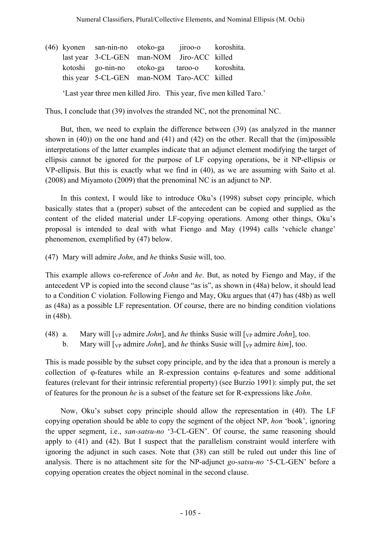|  | (46) kyonen san-nin-no otoko-ga jiroo-o koroshita. |  |  |
|--|----------------------------------------------------|--|--|
|  | last year 3-CL-GEN man-NOM Jiro-ACC killed         |  |  |
|  | kotoshi go-nin-no otoko-ga taroo-o koroshita.      |  |  |
|  | this year 5-CL-GEN man-NOM Taro-ACC killed         |  |  |
|  |                                                    |  |  |

'Last year three men killed Jiro. This year, five men killed Taro.'

Thus, I conclude that (39) involves the stranded NC, not the prenominal NC.

But, then, we need to explain the difference between (39) (as analyzed in the manner shown in (40)) on the one hand and (41) and (42) on the other. Recall that the (im)possible interpretations of the latter examples indicate that an adjunct element modifying the target of ellipsis cannot be ignored for the purpose of LF copying operations, be it NP-ellipsis or VP-ellipsis. But this is exactly what we find in (40), as we are assuming with Saito et al. (2008) and Miyamoto (2009) that the prenominal NC is an adjunct to NP.

In this context, I would like to introduce Oku's (1998) subset copy principle, which basically states that a (proper) subset of the antecedent can be copied and supplied as the content of the elided material under LF-copying operations. Among other things, Oku's proposal is intended to deal with what Fiengo and May (1994) calls 'vehicle change' phenomenon, exemplified by (47) below.

(47) Mary will admire *John*, and *he* thinks Susie will, too.

This example allows co-reference of *John* and *he*. But, as noted by Fiengo and May, if the antecedent VP is copied into the second clause "as is", as shown in (48a) below, it should lead to a Condition C violation. Following Fiengo and May, Oku argues that (47) has (48b) as well as (48a) as a possible LF representation. Of course, there are no binding condition violations in (48b).

(48) a. Mary will  $[\text{v}_P \text{ admire } John]$ , and *he* thinks Susie will  $[\text{v}_P \text{ admire } John]$ , too. b. Mary will  $[v_P]$  admire *John*], and *he* thinks Susie will  $[v_P]$  admire *him*], too.

This is made possible by the subset copy principle, and by the idea that a pronoun is merely a collection of φ-features while an R-expression contains φ-features and some additional features (relevant for their intrinsic referential property) (see Burzio 1991): simply put, the set of features for the pronoun *he* is a subset of the feature set for R-expressions like *John*.

Now, Oku's subset copy principle should allow the representation in (40). The LF copying operation should be able to copy the segment of the object NP, *hon* 'book', ignoring the upper segment, i.e., *san-satsu-no* '3-CL-GEN'. Of course, the same reasoning should apply to (41) and (42). But I suspect that the parallelism constraint would interfere with ignoring the adjunct in such cases. Note that (38) can still be ruled out under this line of analysis. There is no attachment site for the NP-adjunct *go-satsu-no* '5-CL-GEN' before a copying operation creates the object nominal in the second clause.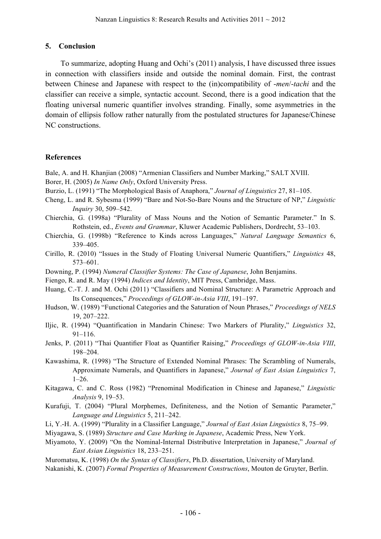### **5. Conclusion**

To summarize, adopting Huang and Ochi's (2011) analysis, I have discussed three issues in connection with classifiers inside and outside the nominal domain. First, the contrast between Chinese and Japanese with respect to the (in)compatibility of -*men*/-*tachi* and the classifier can receive a simple, syntactic account. Second, there is a good indication that the floating universal numeric quantifier involves stranding. Finally, some asymmetries in the domain of ellipsis follow rather naturally from the postulated structures for Japanese/Chinese NC constructions.

### **References**

- Bale, A. and H. Khanjian (2008) "Armenian Classifiers and Number Marking," SALT XVIII.
- Borer, H. (2005) *In Name Only*, Oxford University Press.
- Burzio, L. (1991) "The Morphological Basis of Anaphora," *Journal of Linguistics* 27, 81–105.
- Cheng, L. and R. Sybesma (1999) "Bare and Not-So-Bare Nouns and the Structure of NP," *Linguistic Inquiry* 30, 509–542.
- Chierchia, G. (1998a) "Plurality of Mass Nouns and the Notion of Semantic Parameter." In S. Rothstein, ed., *Events and Grammar*, Kluwer Academic Publishers, Dordrecht, 53–103.
- Chierchia, G. (1998b) "Reference to Kinds across Languages," *Natural Language Semantics* 6, 339–405.
- Cirillo, R. (2010) "Issues in the Study of Floating Universal Numeric Quantifiers," *Linguistics* 48, 573–601.
- Downing, P. (1994) *Numeral Classifier Systems: The Case of Japanese*, John Benjamins.
- Fiengo, R. and R. May (1994) *Indices and Identity*, MIT Press, Cambridge, Mass.
- Huang, C.-T. J. and M. Ochi (2011) "Classifiers and Nominal Structure: A Parametric Approach and Its Consequences," *Proceedings of GLOW-in-Asia VIII*, 191–197.
- Hudson, W. (1989) "Functional Categories and the Saturation of Noun Phrases," *Proceedings of NELS* 19, 207–222.
- Iljic, R. (1994) "Quantification in Mandarin Chinese: Two Markers of Plurality," *Linguistics* 32, 91–116.
- Jenks, P. (2011) "Thai Quantifier Float as Quantifier Raising," *Proceedings of GLOW-in-Asia VIII*, 198–204.
- Kawashima, R. (1998) "The Structure of Extended Nominal Phrases: The Scrambling of Numerals, Approximate Numerals, and Quantifiers in Japanese," *Journal of East Asian Linguistics* 7,  $1-26$ .
- Kitagawa, C. and C. Ross (1982) "Prenominal Modification in Chinese and Japanese," *Linguistic Analysis* 9, 19–53.
- Kurafuji, T. (2004) "Plural Morphemes, Definiteness, and the Notion of Semantic Parameter," *Language and Linguistics* 5, 211–242.
- Li, Y.-H. A. (1999) "Plurality in a Classifier Language," *Journal of East Asian Linguistics* 8, 75–99.
- Miyagawa, S. (1989) *Structure and Case Marking in Japanese*, Academic Press, New York.
- Miyamoto, Y. (2009) "On the Nominal-Internal Distributive Interpretation in Japanese," *Journal of East Asian Linguistics* 18, 233–251.
- Muromatsu, K. (1998) *On the Syntax of Classifiers*, Ph.D. dissertation, University of Maryland.
- Nakanishi, K. (2007) *Formal Properties of Measurement Constructions*, Mouton de Gruyter, Berlin.